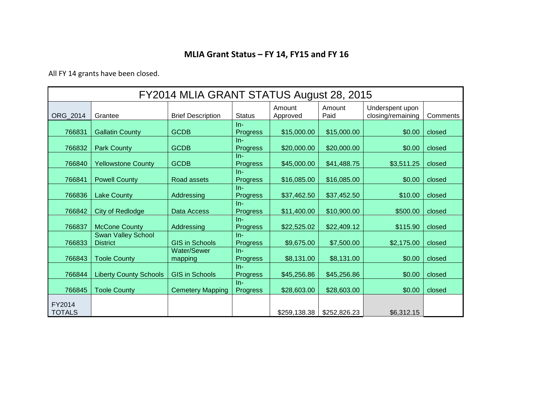## **MLIA Grant Status – FY 14, FY15 and FY 16**

All FY 14 grants have been closed.

| FY2014 MLIA GRANT STATUS August 28, 2015 |                                              |                               |                          |                    |                |                                      |          |
|------------------------------------------|----------------------------------------------|-------------------------------|--------------------------|--------------------|----------------|--------------------------------------|----------|
| ORG_2014                                 | Grantee                                      | <b>Brief Description</b>      | <b>Status</b>            | Amount<br>Approved | Amount<br>Paid | Underspent upon<br>closing/remaining | Comments |
| 766831                                   | <b>Gallatin County</b>                       | <b>GCDB</b>                   | $In-$<br>Progress        | \$15,000.00        | \$15,000.00    | \$0.00                               | closed   |
| 766832                                   | Park County                                  | <b>GCDB</b>                   | $In-$<br><b>Progress</b> | \$20,000.00        | \$20,000.00    | \$0.00                               | closed   |
| 766840                                   | <b>Yellowstone County</b>                    | <b>GCDB</b>                   | $In-$<br><b>Progress</b> | \$45,000.00        | \$41,488.75    | \$3,511.25                           | closed   |
| 766841                                   | <b>Powell County</b>                         | Road assets                   | $In-$<br><b>Progress</b> | \$16,085.00        | \$16,085.00    | \$0.00                               | closed   |
| 766836                                   | <b>Lake County</b>                           | Addressing                    | $In-$<br><b>Progress</b> | \$37,462.50        | \$37,452.50    | \$10.00                              | closed   |
| 766842                                   | <b>City of Redlodge</b>                      | Data Access                   | $In-$<br><b>Progress</b> | \$11,400.00        | \$10,900.00    | \$500.00                             | closed   |
| 766837                                   | <b>McCone County</b>                         | Addressing                    | $In-$<br><b>Progress</b> | \$22,525.02        | \$22,409.12    | \$115.90                             | closed   |
| 766833                                   | <b>Swan Valley School</b><br><b>District</b> | <b>GIS in Schools</b>         | $In-$<br>Progress        | \$9,675.00         | \$7,500.00     | \$2,175.00                           | closed   |
| 766843                                   | <b>Toole County</b>                          | <b>Water/Sewer</b><br>mapping | $In-$<br><b>Progress</b> | \$8,131.00         | \$8,131.00     | \$0.00                               | closed   |
| 766844                                   | <b>Liberty County Schools</b>                | <b>GIS in Schools</b>         | $In-$<br><b>Progress</b> | \$45,256.86        | \$45,256.86    | \$0.00                               | closed   |
| 766845                                   | <b>Toole County</b>                          | <b>Cemetery Mapping</b>       | $In-$<br><b>Progress</b> | \$28,603.00        | \$28,603.00    | \$0.00                               | closed   |
| FY2014<br><b>TOTALS</b>                  |                                              |                               |                          | \$259,138.38       | \$252,826.23   | \$6,312.15                           |          |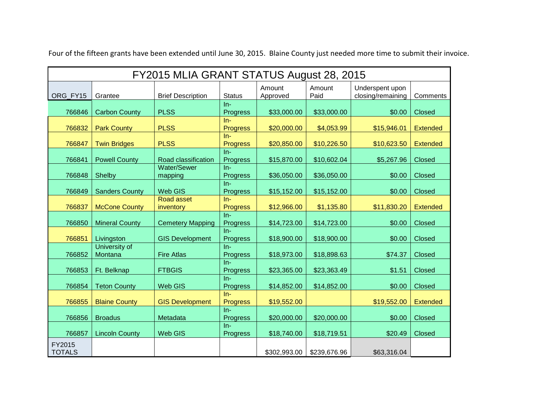| FY2015 MLIA GRANT STATUS August 28, 2015 |                          |                          |                          |                    |                |                                      |                 |
|------------------------------------------|--------------------------|--------------------------|--------------------------|--------------------|----------------|--------------------------------------|-----------------|
| ORG_FY15                                 | Grantee                  | <b>Brief Description</b> | <b>Status</b>            | Amount<br>Approved | Amount<br>Paid | Underspent upon<br>closing/remaining | Comments        |
| 766846                                   | <b>Carbon County</b>     | <b>PLSS</b>              | $In-$<br>Progress        | \$33,000.00        | \$33,000.00    | \$0.00                               | <b>Closed</b>   |
| 766832                                   | <b>Park County</b>       | <b>PLSS</b>              | $In-$<br><b>Progress</b> | \$20,000.00        | \$4,053.99     | \$15,946.01                          | <b>Extended</b> |
| 766847                                   | <b>Twin Bridges</b>      | <b>PLSS</b>              | $In-$<br><b>Progress</b> | \$20,850.00        | \$10,226.50    | \$10,623.50                          | <b>Extended</b> |
| 766841                                   | <b>Powell County</b>     | Road classification      | $In-$<br>Progress        | \$15,870.00        | \$10,602.04    | \$5,267.96                           | <b>Closed</b>   |
| 766848                                   | Shelby                   | Water/Sewer<br>mapping   | $In-$<br><b>Progress</b> | \$36,050.00        | \$36,050.00    | \$0.00                               | <b>Closed</b>   |
| 766849                                   | <b>Sanders County</b>    | Web GIS                  | $In-$<br><b>Progress</b> | \$15,152.00        | \$15,152.00    | \$0.00                               | Closed          |
| 766837                                   | <b>McCone County</b>     | Road asset<br>inventory  | $In-$<br><b>Progress</b> | \$12,966.00        | \$1,135.80     | \$11,830.20                          | <b>Extended</b> |
| 766850                                   | <b>Mineral County</b>    | <b>Cemetery Mapping</b>  | $In-$<br>Progress        | \$14,723.00        | \$14,723.00    | \$0.00                               | <b>Closed</b>   |
| 766851                                   | Livingston               | <b>GIS Development</b>   | $In-$<br>Progress        | \$18,900.00        | \$18,900.00    | \$0.00                               | <b>Closed</b>   |
| 766852                                   | University of<br>Montana | <b>Fire Atlas</b>        | $In-$<br>Progress        | \$18,973.00        | \$18,898.63    | \$74.37                              | <b>Closed</b>   |
| 766853                                   | Ft. Belknap              | <b>FTBGIS</b>            | $In-$<br>Progress        | \$23,365.00        | \$23,363.49    | \$1.51                               | <b>Closed</b>   |
| 766854                                   | <b>Teton County</b>      | Web GIS                  | $In-$<br>Progress        | \$14,852.00        | \$14,852.00    | \$0.00                               | <b>Closed</b>   |
| 766855                                   | <b>Blaine County</b>     | <b>GIS Development</b>   | $In-$<br><b>Progress</b> | \$19,552.00        |                | \$19,552.00                          | <b>Extended</b> |
| 766856                                   | <b>Broadus</b>           | Metadata                 | $In-$<br>Progress        | \$20,000.00        | \$20,000.00    | \$0.00                               | <b>Closed</b>   |
| 766857                                   | <b>Lincoln County</b>    | Web GIS                  | $In-$<br>Progress        | \$18,740.00        | \$18,719.51    | \$20.49                              | <b>Closed</b>   |
| FY2015<br><b>TOTALS</b>                  |                          |                          |                          | \$302,993.00       | \$239,676.96   | \$63,316.04                          |                 |

Four of the fifteen grants have been extended until June 30, 2015. Blaine County just needed more time to submit their invoice.